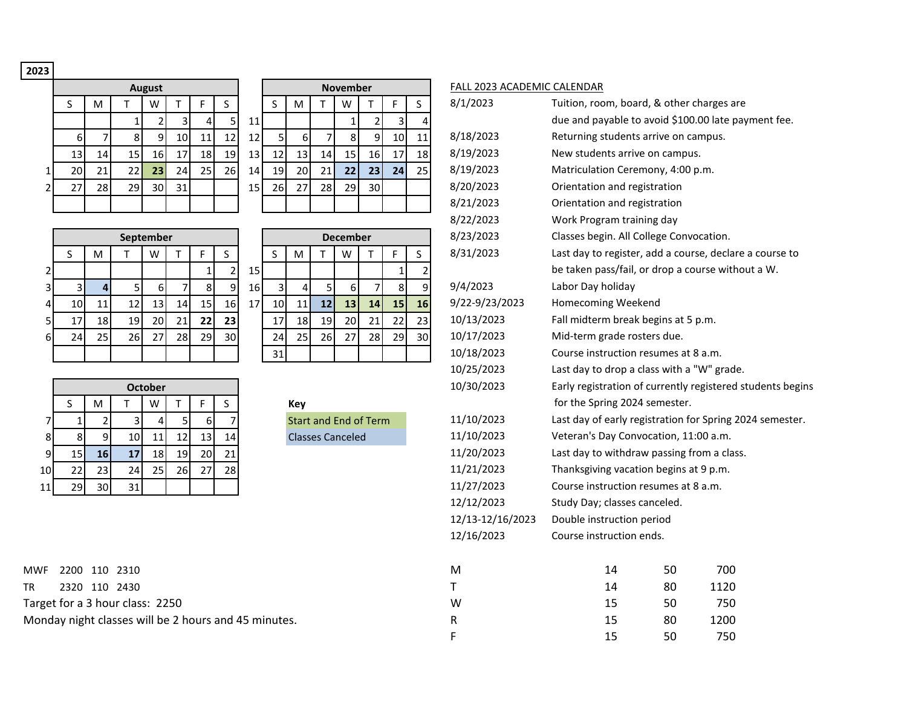## **2023**

|                |    |    |    | <b>August</b> |    |    |                |
|----------------|----|----|----|---------------|----|----|----------------|
|                | S  | M  |    | W             |    | F  | S              |
|                |    |    | 1  | 2             | 3  | 4  |                |
|                | 6  |    | 8  | 9             | 10 | 11 | $\overline{1}$ |
|                | 13 | 14 | 15 | 16            | 17 | 18 | 1              |
| 1              | 20 | 21 | 22 | 23            | 24 | 25 | $\overline{a}$ |
| $\overline{2}$ | 27 | 28 | 29 | 30            | 31 |    |                |
|                |    |    |    |               |    |    |                |

|    |                 |                 | <b>August</b>   |     |                 |                 |                 |                 |                 |     | <b>November</b> |    |    |    | <b>FALL 2023</b> |
|----|-----------------|-----------------|-----------------|-----|-----------------|-----------------|-----------------|-----------------|-----------------|-----|-----------------|----|----|----|------------------|
| S. | M               |                 | W               |     |                 | S               |                 | S               | M               |     | W               |    | F  | S  | 8/1/2023         |
|    |                 |                 |                 | 3   | 4               |                 | 11              |                 |                 |     |                 |    | 3  |    |                  |
| 6  | 7               | 81              | 9               | 101 | 11 <sub>1</sub> | 12 <sub>1</sub> | 12 <sub>1</sub> | 5               | 6               |     | 8               | 9  | 10 | 11 | 8/18/202         |
| 13 | 14 <sub>1</sub> | 15 <sub>l</sub> | 16              | 17  | 18              | 19              | 13              | 12 <sub>1</sub> | 13 <sup>1</sup> | 14  | 15              | 16 | 17 | 18 | 8/19/202         |
| 20 | 21              | 22              | 23 <sub>1</sub> | 24  | 25              | 26              | 14              | 19              | 20              | 21  | 22 <sub>1</sub> | 23 | 24 | 25 | 8/19/202         |
| 27 | 28              | 29              | 30I             | 31  |                 |                 | 15              | 26              | 271             | 28I | 29              | 30 |    |    | 8/20/202         |
|    |                 |                 |                 |     |                 |                 |                 |                 |                 |     |                 |    |    |    | 8/21/202         |

|    |                 |                 |           | September       |     |    |                 |                 |    |    |                 | <b>December</b> |                 |                 |    | 8/23/2023      | Classes begin. All Colleg |
|----|-----------------|-----------------|-----------|-----------------|-----|----|-----------------|-----------------|----|----|-----------------|-----------------|-----------------|-----------------|----|----------------|---------------------------|
|    |                 | M               |           | w               |     |    |                 |                 |    | м  |                 | W               |                 |                 |    | 8/31/2023      | Last day to register, add |
|    |                 |                 |           |                 |     |    |                 | 15 <sub>l</sub> |    |    |                 |                 |                 |                 |    |                | be taken pass/fail, or di |
| 31 |                 |                 |           | 61              |     |    |                 | 16 I            |    |    |                 | 61              |                 |                 | q  | 9/4/2023       | Labor Day holiday         |
| 41 | 10I             | 11              | 12        | 13 <sup>1</sup> | 14  | 15 | 16 <sup> </sup> | 17              | 10 |    | 12              | 13              | 14 <sub>1</sub> | 15 <sub>h</sub> | 16 | 9/22-9/23/2023 | <b>Homecoming Weekend</b> |
| 51 |                 | 18 <sup>l</sup> | <b>19</b> | 20I             | 21  | 22 | 23              |                 | 17 | 18 | 19 <sup>l</sup> | <b>20</b>       | 21 <sup>1</sup> | 22 <sub>1</sub> | 23 | 10/13/2023     | Fall midterm break begi   |
| 61 | 24 <sub>1</sub> | <b>25</b>       | 26I       | 27              | 28I | 29 | 30              |                 | 24 | 25 | 26              | 27              | 28              | <b>29</b>       | 30 | 10/17/2023     | Mid-term grade rosters    |
|    |                 |                 |           |                 |     |    |                 |                 | 31 |    |                 |                 |                 |                 |    | 10/18/2023     | Course instruction resu   |

|    |    |    | <b>December</b> |    |    |  |
|----|----|----|-----------------|----|----|--|
| S  | M  | т  | W               | т  | F  |  |
|    |    |    |                 |    | 1  |  |
| 3  | 4  | 5  | 6               | 7  | 8  |  |
| 10 | 11 | 12 | 13              | 14 | 15 |  |
| 17 | 18 | 19 | 20              | 21 | 22 |  |
| 24 | 25 | 26 | 27              | 28 | 29 |  |
| 31 |    |    |                 |    |    |  |

|    |    |    |    | <b>October</b> |    |    |    |
|----|----|----|----|----------------|----|----|----|
|    | S  | M  |    | W              |    | F  | S  |
| 7  | 1  | 2  | 3  | 4              | 5  | 6  |    |
| 8  | 8  | 9  | 10 | 11             | 12 | 13 | 14 |
| 9  | 15 | 16 | 17 | 18             | 19 | 20 | 21 |
| 10 | 22 | 23 | 24 | 25             | 26 | 27 | 28 |
| 11 | 29 | 30 | 31 |                |    |    |    |

MWF 2200 110 2310 M TR 2320 110 2430 T Target for a 3 hour class: 2250 V Monday night classes will be 2 hours and 45 minutes. The 15 80 1200 1200 1200 1300 1400 15 80 1200 1200 1300 1

## FALL 2023 ACADEMIC CALENDAR

|                | $\sf S$                                            | M               | $\top$         | W              | Τ              | F            | $\mathsf S$    |    | $\sf S$        | M              | $\mathsf T$                  | W                | т              | F  | S              | 8/1/2023         | Tuition, room, board, & other charges are                  |    |      |  |
|----------------|----------------------------------------------------|-----------------|----------------|----------------|----------------|--------------|----------------|----|----------------|----------------|------------------------------|------------------|----------------|----|----------------|------------------|------------------------------------------------------------|----|------|--|
|                |                                                    |                 | $\mathbf 1$    | $\overline{2}$ | $\overline{3}$ | 4            | 5              | 11 |                |                |                              | $\mathbf{1}$     | $\overline{2}$ | 3  | 4              |                  | due and payable to avoid \$100.00 late payment fee.        |    |      |  |
|                | 6                                                  | $\overline{7}$  | $\mathbf{8}$   | 9              | 10             | 11           | 12             | 12 | $\overline{5}$ | 6              |                              | 8                | 9              | 10 | 11             | 8/18/2023        | Returning students arrive on campus.                       |    |      |  |
|                | 13                                                 | 14              | 15             | 16             | 17             | 18           | 19             | 13 | 12             | 13             | 14                           | 15               | 16             | 17 | 18             | 8/19/2023        | New students arrive on campus.                             |    |      |  |
| $\mathbf 1$    | 20                                                 | 21              | 22             | 23             | 24             | 25           | 26             | 14 | 19             | 20             | 21                           | 22               | 23             | 24 | 25             | 8/19/2023        | Matriculation Ceremony, 4:00 p.m.                          |    |      |  |
| $\overline{2}$ | 27                                                 | 28              | 29             | 30             | 31             |              |                | 15 | 26             | 27             | 28                           | 29               | 30             |    |                | 8/20/2023        | Orientation and registration                               |    |      |  |
|                |                                                    |                 |                |                |                |              |                |    |                |                |                              |                  |                |    |                | 8/21/2023        | Orientation and registration                               |    |      |  |
|                |                                                    |                 |                |                |                |              |                |    |                |                |                              |                  |                |    |                | 8/22/2023        | Work Program training day                                  |    |      |  |
|                |                                                    |                 |                | September      |                |              |                |    |                |                |                              | <b>December</b>  |                |    |                | 8/23/2023        | Classes begin. All College Convocation.                    |    |      |  |
|                | $\sf S$                                            | M               | T              | W              | Τ              | F            | S              |    | S              | M              | Τ                            | W                | т              | F  | S              | 8/31/2023        | Last day to register, add a course, declare a course to    |    |      |  |
| $\mathbf 2$    |                                                    |                 |                |                |                | $\mathbf{1}$ | $\overline{2}$ | 15 |                |                |                              |                  |                |    | $\overline{2}$ |                  | be taken pass/fail, or drop a course without a W.          |    |      |  |
| $\mathbf{3}$   | 3                                                  | $\overline{4}$  | 5              | 6              |                | 8            | 9              | 16 | $\overline{3}$ | $\overline{a}$ |                              | $\boldsymbol{6}$ | 7              | 8  | 9              | 9/4/2023         | Labor Day holiday                                          |    |      |  |
| 4              | $10\,$                                             | 11              | 12             | 13             | 14             | 15           | 16             | 17 | 10             | 11             | 12                           | 13               | 14             | 15 | 16             | 9/22-9/23/2023   | Homecoming Weekend                                         |    |      |  |
| 5              | 17                                                 | 18              | 19             | 20             | 21             | 22           | 23             |    | 17             | 18             | 19                           | 20               | 21             | 22 | 23             | 10/13/2023       | Fall midterm break begins at 5 p.m.                        |    |      |  |
| 6              | 24                                                 | 25              | 26             | 27             | 28             | 29           | 30             |    | 24             | 25             | 26                           | 27               | 28             | 29 | 30             | 10/17/2023       | Mid-term grade rosters due.                                |    |      |  |
|                |                                                    |                 |                |                |                |              |                |    | 31             |                |                              |                  |                |    |                | 10/18/2023       | Course instruction resumes at 8 a.m.                       |    |      |  |
|                |                                                    |                 |                |                |                |              |                |    |                |                |                              |                  |                |    |                | 10/25/2023       | Last day to drop a class with a "W" grade.                 |    |      |  |
|                |                                                    |                 |                | <b>October</b> |                |              |                |    |                |                |                              |                  |                |    |                | 10/30/2023       | Early registration of currently registered students begins |    |      |  |
|                | S                                                  | M               | т              | W              | Τ              | F            | S.             |    |                | Key            |                              |                  |                |    |                |                  | for the Spring 2024 semester.                              |    |      |  |
| $\overline{7}$ | $\mathbf{1}$                                       | $\overline{2}$  | $\overline{3}$ | $\overline{4}$ | 5 <sup>1</sup> | $6 \mid$     | $\overline{7}$ |    |                |                | <b>Start and End of Term</b> |                  |                |    |                | 11/10/2023       | Last day of early registration for Spring 2024 semester.   |    |      |  |
| 8              | 8                                                  | 9               | 10             | 11             | 12             | 13           | 14             |    |                |                | <b>Classes Canceled</b>      |                  |                |    |                | 11/10/2023       | Veteran's Day Convocation, 11:00 a.m.                      |    |      |  |
| 9              | 15                                                 | 16              | 17             | 18             | 19             | 20           | 21             |    |                |                |                              |                  |                |    |                | 11/20/2023       | Last day to withdraw passing from a class.                 |    |      |  |
| 10             | 22                                                 | 23              | 24             | 25             | 26             | 27           | 28             |    |                |                |                              |                  |                |    |                | 11/21/2023       | Thanksgiving vacation begins at 9 p.m.                     |    |      |  |
| 11             | 29                                                 | 30 <sup>1</sup> | 31             |                |                |              |                |    |                |                |                              |                  |                |    |                | 11/27/2023       | Course instruction resumes at 8 a.m.                       |    |      |  |
|                |                                                    |                 |                |                |                |              |                |    |                |                |                              |                  |                |    |                | 12/12/2023       | Study Day; classes canceled.                               |    |      |  |
|                |                                                    |                 |                |                |                |              |                |    |                |                |                              |                  |                |    |                | 12/13-12/16/2023 | Double instruction period                                  |    |      |  |
|                |                                                    |                 |                |                |                |              |                |    |                |                |                              |                  |                |    |                | 12/16/2023       | Course instruction ends.                                   |    |      |  |
| /F.            | 2200 110 2310                                      |                 |                |                |                |              |                |    |                |                |                              |                  |                |    |                | M                | 14                                                         | 50 | 700  |  |
|                |                                                    |                 | 2320 110 2430  |                |                |              |                |    |                |                |                              |                  |                |    |                | Τ                | 14                                                         | 80 | 1120 |  |
|                | get for a 3 hour class: 2250                       |                 |                |                |                |              |                |    |                |                |                              |                  |                |    |                | W                | 15                                                         | 50 | 750  |  |
|                | nday night classes will be 2 hours and 45 minutes. |                 |                |                |                |              |                |    |                |                |                              |                  |                |    |                | R                | 15                                                         | 80 | 1200 |  |
|                |                                                    |                 |                |                |                |              |                |    |                |                |                              |                  |                |    |                | F                | 15                                                         | 50 | 750  |  |